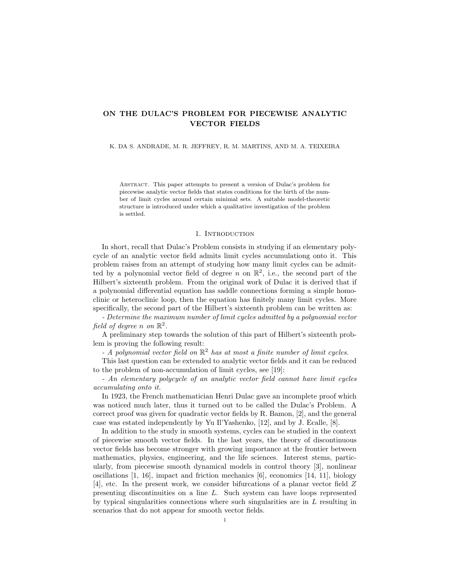# ON THE DULAC'S PROBLEM FOR PIECEWISE ANALYTIC VECTOR FIELDS

#### K. DA S. ANDRADE, M. R. JEFFREY, R. M. MARTINS, AND M. A. TEIXEIRA

Abstract. This paper attempts to present a version of Dulac's problem for piecewise analytic vector fields that states conditions for the birth of the number of limit cycles around certain minimal sets. A suitable model-theoretic structure is introduced under which a qualitative investigation of the problem is settled.

#### 1. INTRODUCTION

In short, recall that Dulac's Problem consists in studying if an elementary polycycle of an analytic vector field admits limit cycles accumulationg onto it. This problem raises from an attempt of studying how many limit cycles can be admitted by a polynomial vector field of degree n on  $\mathbb{R}^2$ , i.e., the second part of the Hilbert's sixteenth problem. From the original work of Dulac it is derived that if a polynomial differential equation has saddle connections forming a simple homoclinic or heteroclinic loop, then the equation has finitely many limit cycles. More specifically, the second part of the Hilbert's sixteenth problem can be written as:

- Determine the maximum number of limit cycles admitted by a polynomial vector field of degree n on  $\mathbb{R}^2$ .

A preliminary step towards the solution of this part of Hilbert's sixteenth problem is proving the following result:

- A polynomial vector field on  $\mathbb{R}^2$  has at most a finite number of limit cycles.

This last question can be extended to analytic vector fields and it can be reduced to the problem of non-accumulation of limit cycles, see [19]:

- An elementary polycycle of an analytic vector field cannot have limit cycles accumulating onto it.

In 1923, the French mathematician Henri Dulac gave an incomplete proof which was noticed much later, thus it turned out to be called the Dulac's Problem. A correct proof was given for quadratic vector fields by R. Bamon, [2], and the general case was estated independently by Yu Il'Yashenko, [12], and by J. Ecalle, [8].

In addition to the study in smooth systems, cycles can be studied in the context of piecewise smooth vector fields. In the last years, the theory of discontinuous vector fields has become stronger with growing importance at the frontier between mathematics, physics, engineering, and the life sciences. Interest stems, particularly, from piecewise smooth dynamical models in control theory [3], nonlinear oscillations  $\vert 1, 16 \vert$ , impact and friction mechanics  $\vert 6 \vert$ , economics  $\vert 14, 11 \vert$ , biology [4], etc. In the present work, we consider bifurcations of a planar vector field Z presenting discontinuities on a line L. Such system can have loops represented by typical singularities connections where such singularities are in  $L$  resulting in scenarios that do not appear for smooth vector fields.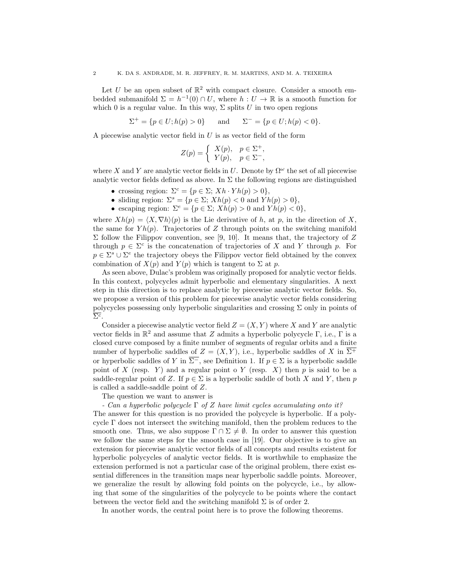Let U be an open subset of  $\mathbb{R}^2$  with compact closure. Consider a smooth embedded submanifold  $\Sigma = h^{-1}(0) \cap U$ , where  $h : U \to \mathbb{R}$  is a smooth function for which 0 is a regular value. In this way,  $\Sigma$  splits U in two open regions

$$
\Sigma^{+} = \{ p \in U; h(p) > 0 \} \quad \text{and} \quad \Sigma^{-} = \{ p \in U; h(p) < 0 \}.
$$

A piecewise analytic vector field in  $U$  is as vector field of the form

$$
Z(p) = \begin{cases} X(p), & p \in \Sigma^+, \\ Y(p), & p \in \Sigma^-, \end{cases}
$$

where X and Y are analytic vector fields in U. Denote by  $\Omega^{\omega}$  the set of all piecewise analytic vector fields defined as above. In  $\Sigma$  the following regions are distinguished

- crossing region:  $\Sigma^c = \{p \in \Sigma; Xh \cdot Yh(p) > 0\},\$
- sliding region:  $\Sigma^s = \{p \in \Sigma; Xh(p) < 0 \text{ and } Yh(p) > 0\},\$
- escaping region:  $\Sigma^e = \{p \in \Sigma; Xh(p) > 0 \text{ and } Yh(p) < 0\},\$

where  $Xh(p) = \langle X, \nabla h \rangle(p)$  is the Lie derivative of h, at p, in the direction of X, the same for  $Yh(p)$ . Trajectories of Z through points on the switching manifold Σ follow the Filippov convention, see [9, 10]. It means that, the trajectory of  $Z$ through  $p \in \Sigma^c$  is the concatenation of trajectories of X and Y through p. For  $p \in \Sigma^s \cup \Sigma^e$  the trajectory obeys the Filippov vector field obtained by the convex combination of  $X(p)$  and  $Y(p)$  which is tangent to  $\Sigma$  at p.

As seen above, Dulac's problem was originally proposed for analytic vector fields. In this context, polycycles admit hyperbolic and elementary singularities. A next step in this direction is to replace analytic by piecewise analytic vector fields. So, we propose a version of this problem for piecewise analytic vector fields considering polycycles possessing only hyperbolic singularities and crossing Σ only in points of  $\overline{\Sigma^c}$ .

Consider a piecewise analytic vector field  $Z = (X, Y)$  where X and Y are analytic vector fields in  $\mathbb{R}^2$  and assume that Z admits a hyperbolic polycycle  $\Gamma$ , i.e.,  $\Gamma$  is a closed curve composed by a finite number of segments of regular orbits and a finite number of hyperbolic saddles of  $Z = (X, Y)$ , i.e., hyperbolic saddles of X in  $\overline{\Sigma^+}$ or hyperbolic saddles of Y in  $\overline{\Sigma}$ , see Definition 1. If  $p \in \Sigma$  is a hyperbolic saddle point of X (resp. Y) and a regular point o Y (resp. X) then  $p$  is said to be a saddle-regular point of Z. If  $p \in \Sigma$  is a hyperbolic saddle of both X and Y, then p is called a saddle-saddle point of Z.

The question we want to answer is

- Can a hyperbolic polycycle  $\Gamma$  of Z have limit cycles accumulating onto it?

The answer for this question is no provided the polycycle is hyperbolic. If a polycycle  $\Gamma$  does not intersect the switching manifold, then the problem reduces to the smooth one. Thus, we also suppose  $\Gamma \cap \Sigma \neq \emptyset$ . In order to answer this question we follow the same steps for the smooth case in [19]. Our objective is to give an extension for piecewise analytic vector fields of all concepts and results existent for hyperbolic polycycles of analytic vector fields. It is worthwhile to emphasize the extension performed is not a particular case of the original problem, there exist essential differences in the transition maps near hyperbolic saddle points. Moreover, we generalize the result by allowing fold points on the polycycle, i.e., by allowing that some of the singularities of the polycycle to be points where the contact between the vector field and the switching manifold  $\Sigma$  is of order 2.

In another words, the central point here is to prove the following theorems.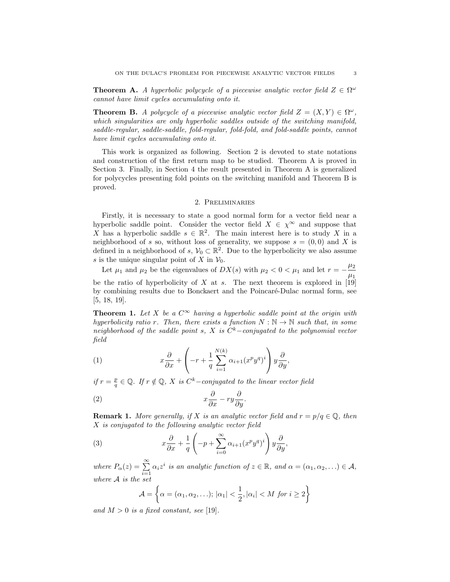**Theorem A.** A hyperbolic polycycle of a piecewise analytic vector field  $Z \in \Omega^{\omega}$ cannot have limit cycles accumulating onto it.

**Theorem B.** A polycycle of a piecewise analytic vector field  $Z = (X, Y) \in \Omega^{\omega}$ , which singularities are only hyperbolic saddles outside of the switching manifold, saddle-regular, saddle-saddle, fold-regular, fold-fold, and fold-saddle points, cannot have limit cycles accumulating onto it.

This work is organized as following. Section 2 is devoted to state notations and construction of the first return map to be studied. Theorem A is proved in Section 3. Finally, in Section 4 the result presented in Theorem A is generalized for polycycles presenting fold points on the switching manifold and Theorem B is proved.

### 2. Preliminaries

Firstly, it is necessary to state a good normal form for a vector field near a hyperbolic saddle point. Consider the vector field  $X \in \chi^{\infty}$  and suppose that X has a hyperbolic saddle  $s \in \mathbb{R}^2$ . The main interest here is to study X in a neighborhood of s so, without loss of generality, we suppose  $s = (0,0)$  and X is defined in a neighborhood of s,  $\mathcal{V}_0 \subset \mathbb{R}^2$ . Due to the hyperbolicity we also assume s is the unique singular point of X in  $V_0$ .

Let  $\mu_1$  and  $\mu_2$  be the eigenvalues of  $DX(s)$  with  $\mu_2 < 0 < \mu_1$  and let  $r = -\frac{\mu_2}{\mu_2}$  $\mu_1$ be the ratio of hyperbolicity of X at s. The next theorem is explored in  $[19]$ by combining results due to Bonckaert and the Poincaré-Dulac normal form, see [5, 18, 19].

**Theorem 1.** Let X be a  $C^{\infty}$  having a hyperbolic saddle point at the origin with hyperbolicity ratio r. Then, there exists a function  $N : \mathbb{N} \to \mathbb{N}$  such that, in some neighborhood of the saddle point s, X is  $C<sup>k</sup>$ -conjugated to the polynomial vector field

(1) 
$$
x\frac{\partial}{\partial x} + \left(-r + \frac{1}{q}\sum_{i=1}^{N(k)} \alpha_{i+1}(x^p y^q)^i\right) y\frac{\partial}{\partial y},
$$

if  $r = \frac{p}{q} \in \mathbb{Q}$ . If  $r \notin \mathbb{Q}$ , X is  $C^k$ -conjugated to the linear vector field

$$
(2) \t\t x\frac{\partial}{\partial x} - ry\frac{\partial}{\partial y}.
$$

**Remark 1.** More generally, if X is an analytic vector field and  $r = p/q \in \mathbb{Q}$ , then X is conjugated to the following analytic vector field

(3) 
$$
x\frac{\partial}{\partial x} + \frac{1}{q}\left(-p + \sum_{i=0}^{\infty} \alpha_{i+1}(x^p y^q)^i\right) y\frac{\partial}{\partial y},
$$

where  $P_{\alpha}(z) = \sum_{i=1}^{\infty} \alpha_i z^i$  is an analytic function of  $z \in \mathbb{R}$ , and  $\alpha = (\alpha_1, \alpha_2, ...) \in \mathcal{A}$ , where A is the set

$$
\mathcal{A} = \left\{ \alpha = (\alpha_1, \alpha_2, \ldots); |\alpha_1| < \frac{1}{2}, |\alpha_i| < M \text{ for } i \ge 2 \right\}
$$

and  $M > 0$  is a fixed constant, see [19].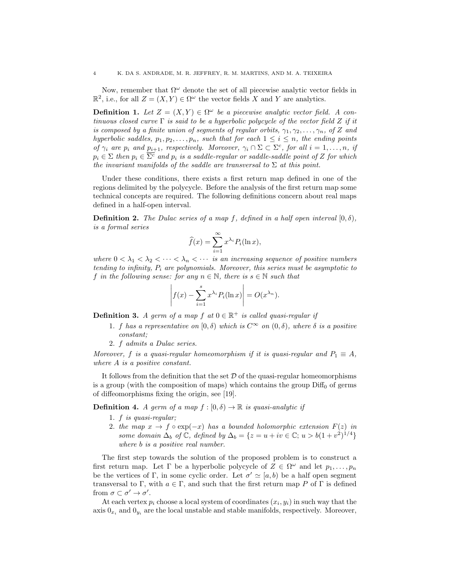Now, remember that  $\Omega^{\omega}$  denote the set of all piecewise analytic vector fields in  $\mathbb{R}^2$ , i.e., for all  $Z = (X, Y) \in \Omega^{\omega}$  the vector fields X and Y are analytics.

**Definition 1.** Let  $Z = (X, Y) \in \Omega^{\omega}$  be a piecewise analytic vector field. A continuous closed curve  $\Gamma$  is said to be a hyperbolic polycycle of the vector field Z if it is composed by a finite union of segments of regular orbits,  $\gamma_1, \gamma_2, \ldots, \gamma_n$ , of Z and hyperbolic saddles,  $p_1, p_2, \ldots, p_n$ , such that for each  $1 \leq i \leq n$ , the ending points of  $\gamma_i$  are  $p_i$  and  $p_{i+1}$ , respectively. Moreover,  $\gamma_i \cap \Sigma \subset \Sigma^c$ , for all  $i = 1, \ldots, n$ , if  $p_i \in \Sigma$  then  $p_i \in \overline{\Sigma^c}$  and  $p_i$  is a saddle-regular or saddle-saddle point of Z for which the invariant manifolds of the saddle are transversal to  $\Sigma$  at this point.

Under these conditions, there exists a first return map defined in one of the regions delimited by the polycycle. Before the analysis of the first return map some technical concepts are required. The following definitions concern about real maps defined in a half-open interval.

**Definition 2.** The Dulac series of a map f, defined in a half open interval  $[0, \delta)$ , is a formal series

$$
\widehat{f}(x) = \sum_{i=1}^{\infty} x^{\lambda_i} P_i(\ln x),
$$

where  $0 < \lambda_1 < \lambda_2 < \cdots < \lambda_n < \cdots$  is an increasing sequence of positive numbers tending to infinity,  $P_i$  are polynomials. Moreover, this series must be asymptotic to f in the following sense: for any  $n \in \mathbb{N}$ , there is  $s \in \mathbb{N}$  such that

$$
\left| f(x) - \sum_{i=1}^{s} x^{\lambda_i} P_i(\ln x) \right| = O(x^{\lambda_n}).
$$

**Definition 3.** A germ of a map f at  $0 \in \mathbb{R}^+$  is called quasi-regular if

- 1. f has a representative on  $[0, \delta)$  which is  $C^{\infty}$  on  $(0, \delta)$ , where  $\delta$  is a positive constant;
- 2. f admits a Dulac series.

Moreover, f is a quasi-regular homeomorphism if it is quasi-regular and  $P_1 \equiv A$ , where A is a positive constant.

It follows from the definition that the set  $\mathcal D$  of the quasi-regular homeomorphisms is a group (with the composition of maps) which contains the group  $\text{Diff}_0$  of germs of diffeomorphisms fixing the origin, see [19].

**Definition 4.** A germ of a map  $f : [0, \delta) \to \mathbb{R}$  is quasi-analytic if

- 1. f is quasi-regular;
- 2. the map  $x \to f \circ \exp(-x)$  has a bounded holomorphic extension  $F(z)$  in some domain  $\Delta_b$  of  $\mathbb C$ , defined by  $\Delta_b = \{z = u + iv \in \mathbb C; u > b(1+v^2)^{1/4}\}\$ where *b* is a positive real number.

The first step towards the solution of the proposed problem is to construct a first return map. Let  $\Gamma$  be a hyperbolic polycycle of  $Z \in \Omega^{\omega}$  and let  $p_1, \ldots, p_n$ be the vertices of Γ, in some cyclic order. Let  $\sigma' \simeq [a, b]$  be a half open segment transversal to Γ, with  $a \in \Gamma$ , and such that the first return map P of Γ is defined from  $\sigma \subset \sigma' \to \sigma'.$ 

At each vertex  $p_i$  choose a local system of coordinates  $(x_i, y_i)$  in such way that the axis  $0_{x_i}$  and  $0_{y_i}$  are the local unstable and stable manifolds, respectively. Moreover,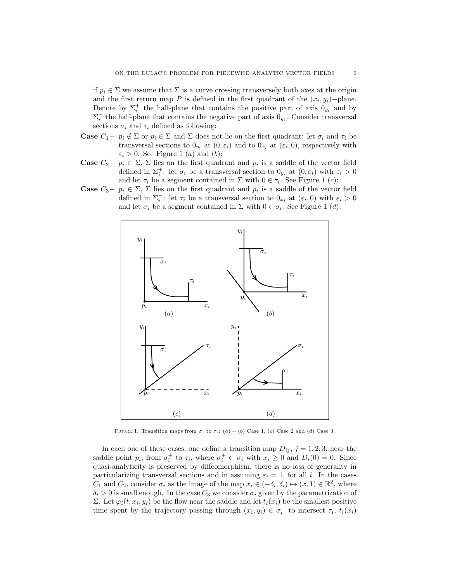if  $p_i \in \Sigma$  we assume that  $\Sigma$  is a curve crossing transversely both axes at the origin and the first return map P is defined in the first quadrant of the  $(x_i, y_i)$ -plane. Denote by  $\Sigma_i^+$  the half-plane that contains the positive part of axis  $0_{y_i}$  and by  $\Sigma_i^-$  the half-plane that contains the negative part of axis  $0_{y_i}$ . Consider transversal sections  $\sigma_i$  and  $\tau_i$  defined as following:

- **Case**  $C_1 p_i \notin \Sigma$  or  $p_i \in \Sigma$  and  $\Sigma$  does not lie on the first quadrant: let  $\sigma_i$  and  $\tau_i$  be transversal sections to  $0_{y_i}$  at  $(0, \varepsilon_i)$  and to  $0_{x_i}$  at  $(\varepsilon_i, 0)$ , respectively with  $\varepsilon_i > 0$ . See Figure 1 (*a*) and (*b*);
- Case  $C_2$ −  $p_i$  ∈  $\Sigma$ ,  $\Sigma$  lies on the first quadrant and  $p_i$  is a saddle of the vector field defined in  $\Sigma_i^+$ : let  $\sigma_i$  be a transversal section to  $0_{y_i}$  at  $(0, \varepsilon_i)$  with  $\varepsilon_i > 0$ and let  $\tau_i$  be a segment contained in  $\Sigma$  with  $0 \in \tau_i$ . See Figure 1 (*c*);
- **Case**  $C_3 p_i \in \Sigma$ ,  $\Sigma$  lies on the first quadrant and  $p_i$  is a saddle of the vector field defined in  $\Sigma_i^-$ : let  $\tau_i$  be a transversal section to  $0_{x_i}$  at  $(\varepsilon_i, 0)$  with  $\varepsilon_i > 0$ and let  $\sigma_i$  be a segment contained in  $\Sigma$  with  $0 \in \sigma_i$ . See Figure 1 (*d*).



FIGURE 1. Transition maps from  $\sigma_i$  to  $\tau_i$ : (a) – (b) Case 1, (c) Case 2 and (d) Case 3.

In each one of these cases, one define a transition map  $D_{ij}$ ,  $j = 1, 2, 3$ , near the saddle point  $p_i$ , from  $\sigma_i^+$  to  $\tau_i$ , where  $\sigma_i^+ \subset \sigma_i$  with  $x_i \geq 0$  and  $D_i(0) = 0$ . Since quasi-analyticity is preserved by diffeomorphism, there is no loss of generality in particularizing transversal sections and in assuming  $\varepsilon_i = 1$ , for all i. In the cases  $C_1$  and  $C_2$ , consider  $\sigma_i$  as the image of the map  $x_i \in (-\delta_i, \delta_i) \mapsto (x, 1) \in \mathbb{R}^2$ , where  $\delta_i > 0$  is small enough. In the case  $C_3$  we consider  $\sigma_i$  given by the parametrization of Σ. Let  $\varphi_i(t, x_i, y_i)$  be the flow near the saddle and let  $t_i(x_i)$  be the smallest positive time spent by the trajectory passing through  $(x_i, y_i) \in \sigma_i^+$  to intersect  $\tau_i$ ,  $t_i(x_i)$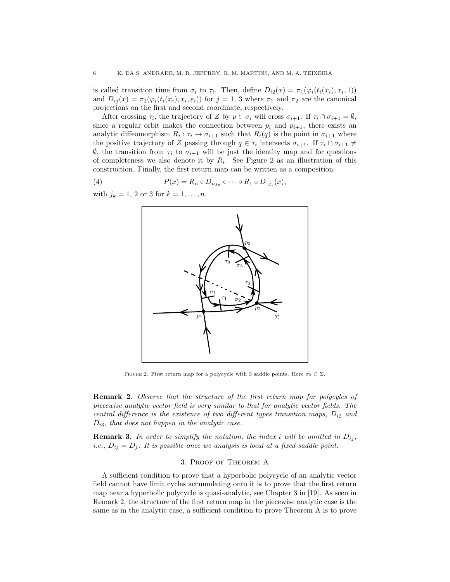is called transition time from  $\sigma_i$  to  $\tau_i$ . Then, define  $D_{i2}(x) = \pi_1(\varphi_i(t_i(x_i), x_i, 1))$ and  $D_{ij}(x) = \pi_2(\varphi_i(t_i(x_i), x_i, \varepsilon_i))$  for  $j = 1, 3$  where  $\pi_1$  and  $\pi_2$  are the canonical projections on the first and second coordinate, respectively.

After crossing  $\tau_i$ , the trajectory of Z by  $p \in \sigma_i$  will cross  $\sigma_{i+1}$ . If  $\tau_i \cap \sigma_{i+1} = \emptyset$ , since a regular orbit makes the connection between  $p_i$  and  $p_{i+1}$ , there exists an analytic diffeomorphism  $R_i: \tau_i \to \sigma_{i+1}$  such that  $R_i(q)$  is the point in  $\sigma_{i+1}$  where the positive trajectory of Z passing through  $q \in \tau_i$  intersects  $\sigma_{i+1}$ . If  $\tau_i \cap \sigma_{i+1} \neq$  $\emptyset$ , the transition from  $τ_i$  to  $σ_{i+1}$  will be just the identity map and for questions of completeness we also denote it by  $R_i$ . See Figure 2 as an illustration of this construction. Finally, the first return map can be written as a composition

(4) 
$$
P(x) = R_n \circ D_{nj_n} \circ \cdots \circ R_1 \circ D_{1j_1}(x),
$$

with  $j_k = 1, 2 \text{ or } 3 \text{ for } k = 1, ..., n$ .



FIGURE 2. First return map for a polycycle with 3 saddle points. Here  $\sigma_2 \subset \Sigma$ .

Remark 2. Observe that the structure of the first return map for polycyles of piecewise analytic vector field is very similar to that for analytic vector fields. The central difference is the existence of two different types transition maps,  $D_{i2}$  and  $D_{i3}$ , that does not happen in the analytic case.

**Remark 3.** In order to simplify the notation, the index i will be omitted in  $D_{ij}$ , i.e.,  $D_{ij} = D_j$ . It is possible once we analysis is local at a fixed saddle point.

### 3. Proof of Theorem A

A sufficient condition to prove that a hyperbolic polycycle of an analytic vector field cannot have limit cycles accumulating onto it is to prove that the first return map near a hyperbolic polycycle is quasi-analytic, see Chapter 3 in [19]. As seen in Remark 2, the structure of the first return map in the piecewise analytic case is the same as in the analytic case, a sufficient condition to prove Theorem A is to prove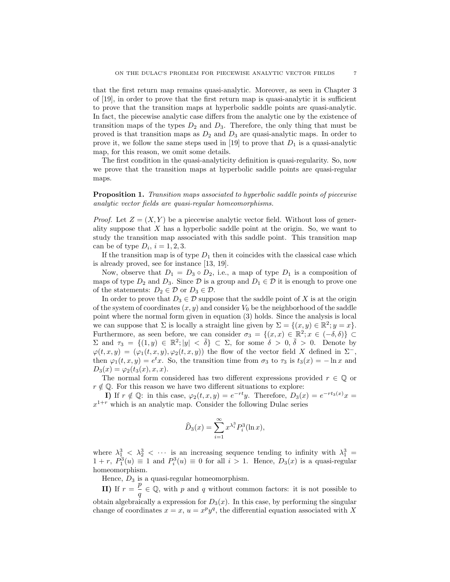that the first return map remains quasi-analytic. Moreover, as seen in Chapter 3 of [19], in order to prove that the first return map is quasi-analytic it is sufficient to prove that the transition maps at hyperbolic saddle points are quasi-analytic. In fact, the piecewise analytic case differs from the analytic one by the existence of transition maps of the types  $D_2$  and  $D_3$ . Therefore, the only thing that must be proved is that transition maps as  $D_2$  and  $D_3$  are quasi-analytic maps. In order to prove it, we follow the same steps used in [19] to prove that  $D_1$  is a quasi-analytic map, for this reason, we omit some details.

The first condition in the quasi-analyticity definition is quasi-regularity. So, now we prove that the transition maps at hyperbolic saddle points are quasi-regular maps.

## Proposition 1. Transition maps associated to hyperbolic saddle points of piecewise analytic vector fields are quasi-regular homeomorphisms.

*Proof.* Let  $Z = (X, Y)$  be a piecewise analytic vector field. Without loss of generality suppose that  $X$  has a hyperbolic saddle point at the origin. So, we want to study the transition map associated with this saddle point. This transition map can be of type  $D_i$ ,  $i = 1, 2, 3$ .

If the transition map is of type  $D_1$  then it coincides with the classical case which is already proved, see for instance [13, 19].

Now, observe that  $D_1 = D_3 \circ D_2$ , i.e., a map of type  $D_1$  is a composition of maps of type  $D_2$  and  $D_3$ . Since  $\mathcal D$  is a group and  $D_1 \in \mathcal D$  it is enough to prove one of the statements:  $D_2 \in \mathcal{D}$  or  $D_3 \in \mathcal{D}$ .

In order to prove that  $D_3 \in \mathcal{D}$  suppose that the saddle point of X is at the origin of the system of coordinates  $(x, y)$  and consider  $V_0$  be the neighborhood of the saddle point where the normal form given in equation (3) holds. Since the analysis is local we can suppose that  $\Sigma$  is locally a straight line given by  $\Sigma = \{(x, y) \in \mathbb{R}^2; y = x\}.$ Furthermore, as seen before, we can consider  $\sigma_3 = \{(x, x) \in \mathbb{R}^2; x \in (-\delta, \delta)\}\subset$  $\Sigma$  and  $\tau_3 = \{(1, y) \in \mathbb{R}^2; |y| < \overline{\delta}\} \subset \Sigma$ , for some  $\delta > 0, \overline{\delta} > 0$ . Denote by  $\varphi(t, x, y) = (\varphi_1(t, x, y), \varphi_2(t, x, y))$  the flow of the vector field X defined in  $\Sigma^-$ , then  $\varphi_1(t, x, y) = e^t x$ . So, the transition time from  $\sigma_3$  to  $\tau_3$  is  $t_3(x) = -\ln x$  and  $D_3(x) = \varphi_2(t_3(x), x, x).$ 

The normal form considered has two different expressions provided  $r \in \mathbb{Q}$  or  $r \notin \mathbb{Q}$ . For this reason we have two different situations to explore:

I) If  $r \notin \mathbb{Q}$ : in this case,  $\varphi_2(t, x, y) = e^{-rt}y$ . Therefore,  $D_3(x) = e^{-rt_3(x)}x$  $x^{1+r}$  which is an analytic map. Consider the following Dulac series

$$
\widehat{D}_3(x) = \sum_{i=1}^{\infty} x^{\lambda_i^3} P_i^3(\ln x),
$$

where  $\lambda_1^3$  <  $\lambda_2^3$  <  $\cdots$  is an increasing sequence tending to infinity with  $\lambda_1^3$  =  $1 + r$ ,  $P_1^3(u) \equiv 1$  and  $P_i^3(u) \equiv 0$  for all  $i > 1$ . Hence,  $D_3(x)$  is a quasi-regular homeomorphism.

Hence,  $D_3$  is a quasi-regular homeomorphism.

**II**) If  $r = \frac{p}{q}$  $\frac{p}{q} \in \mathbb{Q}$ , with p and q without common factors: it is not possible to obtain algebraically a expression for  $D_3(x)$ . In this case, by performing the singular change of coordinates  $x = x$ ,  $u = x^p y^q$ , the differential equation associated with X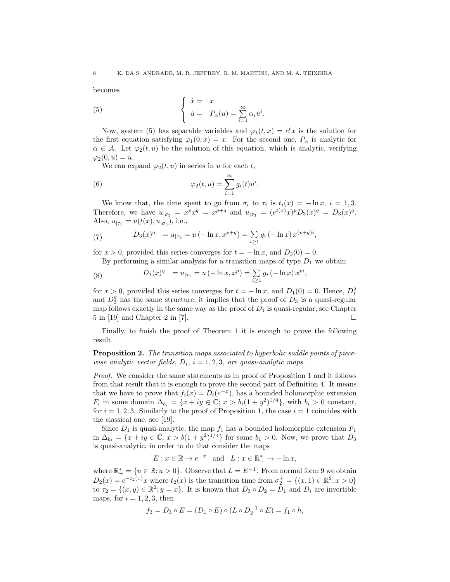becomes

(5) 
$$
\begin{cases} \dot{x} = x \\ \dot{u} = P_{\alpha}(u) = \sum_{i=1}^{\infty} \alpha_i u^i. \end{cases}
$$

Now, system (5) has separable variables and  $\varphi_1(t,x) = e^t x$  is the solution for the first equation satisfying  $\varphi_1(0, x) = x$ . For the second one,  $P_\alpha$  is analytic for  $\alpha \in \mathcal{A}$ . Let  $\varphi_2(t, u)$  be the solution of this equation, which is analytic, verifying  $\varphi_2(0, u) = u.$ 

We can expand  $\varphi_2(t, u)$  in series in u for each t,

(6) 
$$
\varphi_2(t, u) = \sum_{i=1}^{\infty} g_i(t) u^i.
$$

We know that, the time spent to go from  $\sigma_i$  to  $\tau_i$  is  $t_i(x) = -\ln x$ ,  $i = 1, 3$ . Therefore, we have  $u_{|\sigma_3} = x^p x^q = x^{p+q}$  and  $u_{|\tau_3} = (e^{t(x)} x)^p D_3(x)^q = D_3(x)^q$ . Also,  $u_{|\tau_3} = u(t(x), u_{|\sigma_3})$ , i.e.,

(7) 
$$
D_3(x)^q = u_{|\tau_3} = u(-\ln x, x^{p+q}) = \sum_{i\geq 1} g_i(-\ln x) x^{(p+q)i},
$$

for  $x > 0$ , provided this series converges for  $t = -\ln x$ , and  $D_3(0) = 0$ .

By performing a similar analysis for a transition maps of type  $D_1$  we obtain

(8) 
$$
D_1(x)^q = u_{|\tau_1} = u(-\ln x, x^p) = \sum_{i \ge 1} g_i(-\ln x) x^{pi},
$$

for  $x > 0$ , provided this series converges for  $t = -\ln x$ , and  $D_1(0) = 0$ . Hence,  $D_1^q$ and  $D_3^q$  has the same structure, it implies that the proof of  $D_3$  is a quasi-regular map follows exactly in the same way as the proof of  $D_1$  is quasi-regular, see Chapter 5 in [19] and Chapter 2 in [7].

Finally, to finish the proof of Theorem 1 it is enough to prove the following result.

**Proposition 2.** The transition maps associated to hyperbolic saddle points of piecewise analytic vector fields,  $D_i$ ,  $i = 1, 2, 3$ , are quasi-analytic maps.

Proof. We consider the same statements as in proof of Proposition 1 and it follows from that result that it is enough to prove the second part of Definition 4. It means that we have to prove that  $f_i(x) = D_i(e^{-x})$ , has a bounded holomorphic extension  $F_i$  in some domain  $\Delta_{b_i} = \{x + iy \in \mathbb{C}; x > b_i(1+y^2)^{1/4}\},\$  with  $b_i > 0$  constant, for  $i = 1, 2, 3$ . Similarly to the proof of Proposition 1, the case  $i = 1$  coincides with the classical one, see [19].

Since  $D_1$  is quasi-analytic, the map  $f_1$  has a bounded holomorphic extension  $F_1$ in  $\Delta_{b_1} = \{x + iy \in \mathbb{C}; x > b(1+y^2)^{1/4}\}\$  for some  $b_1 > 0$ . Now, we prove that  $D_3$ is quasi-analytic, in order to do that consider the maps

$$
E: x \in \mathbb{R} \to e^{-x} \quad \text{and} \quad L: x \in \mathbb{R}_+^* \to -\ln x,
$$

where  $\mathbb{R}^*_+ = \{u \in \mathbb{R}; u > 0\}$ . Observe that  $L = E^{-1}$ . From normal form 9 we obtain  $D_2(x) = e^{-t_2(x)}x$  where  $t_2(x)$  is the transition time from  $\sigma_2^+ = \{(x, 1) \in \mathbb{R}^2; x > 0\}$ to  $\tau_2 = \{(x, y) \in \mathbb{R}^2; y = x\}$ . It is known that  $D_3 \circ D_2 = D_1$  and  $D_i$  are invertible maps, for  $i = 1, 2, 3$ , then

$$
f_3 = D_3 \circ E = (D_1 \circ E) \circ (L \circ D_2^{-1} \circ E) = f_1 \circ h,
$$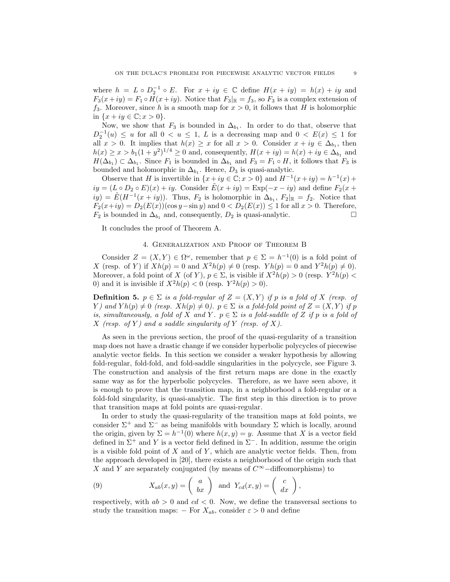where  $h = L \circ D_2^{-1} \circ E$ . For  $x + iy \in \mathbb{C}$  define  $H(x + iy) = h(x) + iy$  and  $F_3(x+iy) = F_1 \circ H(x+iy)$ . Notice that  $F_3|_{\mathbb{R}} = f_3$ , so  $F_3$  is a complex extension of  $f_3$ . Moreover, since h is a smooth map for  $x > 0$ , it follows that H is holomorphic in  $\{x + iy \in \mathbb{C}; x > 0\}.$ 

Now, we show that  $F_3$  is bounded in  $\Delta_{b_1}$ . In order to do that, observe that  $D_2^{-1}(u) \leq u$  for all  $0 < u \leq 1$ , L is a decreasing map and  $0 < E(x) \leq 1$  for all  $x > 0$ . It implies that  $h(x) \geq x$  for all  $x > 0$ . Consider  $x + iy \in \Delta_{b_1}$ , then  $h(x) \ge x > b_1(1+y^2)^{1/4} \ge 0$  and, consequently,  $H(x+iy) = h(x) + iy \in \Delta_{b_1}$  and  $H(\Delta_{b_1}) \subset \Delta_{b_1}$ . Since  $F_1$  is bounded in  $\Delta_{b_1}$  and  $F_3 = F_1 \circ H$ , it follows that  $F_3$  is bounded and holomorphic in  $\Delta_{b_1}$ . Hence,  $D_3$  is quasi-analytic.

Observe that H is invertible in  $\{x+iy \in \mathbb{C}; x > 0\}$  and  $H^{-1}(x+iy) = h^{-1}(x) +$  $iy = (L \circ D_2 \circ E)(x) + iy$ . Consider  $\tilde{E}(x+iy) = \text{Exp}(-x-iy)$  and define  $F_2(x+iy)$  $iy) = \tilde{E}(H^{-1}(x+iy)).$  Thus,  $F_2$  is holomorphic in  $\Delta_{b_1}$ ,  $F_2|_{\mathbb{R}} = f_2$ . Notice that  $F_2(x+iy) = D_2(E(x))(\cos y - \sin y)$  and  $0 < D_2(E(x)) \le 1$  for all  $x > 0$ . Therefore,  $F_2$  is bounded in  $\Delta_{b_1}$  and, consequently,  $D_2$  is quasi-analytic.  $\Box$ 

It concludes the proof of Theorem A.

### 4. Generalization and Proof of Theorem B

Consider  $Z = (X, Y) \in \Omega^{\omega}$ , remember that  $p \in \Sigma = h^{-1}(0)$  is a fold point of X (resp. of Y) if  $Xh(p) = 0$  and  $X^2h(p) \neq 0$  (resp.  $Yh(p) = 0$  and  $Y^2h(p) \neq 0$ ). Moreover, a fold point of X (of Y),  $p \in \Sigma$ , is visible if  $X^2h(p) > 0$  (resp.  $Y^2h(p) < \Sigma$ 0) and it is invisible if  $X^2h(p) < 0$  (resp.  $Y^2h(p) > 0$ ).

**Definition 5.**  $p \in \Sigma$  is a fold-regular of  $Z = (X, Y)$  if p is a fold of X (resp. of Y) and  $Yh(p) \neq 0$  (resp.  $Xh(p) \neq 0$ ).  $p \in \Sigma$  is a fold-fold point of  $Z = (X, Y)$  if p is, simultaneously, a fold of X and Y.  $p \in \Sigma$  is a fold-saddle of Z if p is a fold of X (resp. of Y) and a saddle singularity of Y (resp. of X).

As seen in the previous section, the proof of the quasi-regularity of a transition map does not have a drastic change if we consider hyperbolic polycycles of piecewise analytic vector fields. In this section we consider a weaker hypothesis by allowing fold-regular, fold-fold, and fold-saddle singularities in the polycycle, see Figure 3. The construction and analysis of the first return maps are done in the exactly same way as for the hyperbolic polycycles. Therefore, as we have seen above, it is enough to prove that the transition map, in a neighborhood a fold-regular or a fold-fold singularity, is quasi-analytic. The first step in this direction is to prove that transition maps at fold points are quasi-regular.

In order to study the quasi-regularity of the transition maps at fold points, we consider  $\Sigma^+$  and  $\Sigma^-$  as being manifolds with boundary  $\Sigma$  which is locally, around the origin, given by  $\Sigma = h^{-1}(0)$  where  $h(x, y) = y$ . Assume that X is a vector field defined in  $\Sigma^+$  and Y is a vector field defined in  $\Sigma^-$ . In addition, assume the origin is a visible fold point of  $X$  and of  $Y$ , which are analytic vector fields. Then, from the approach developed in [20], there exists a neighborhood of the origin such that X and Y are separately conjugated (by means of  $C^{\infty}-$ diffeomorphisms) to

(9) 
$$
X_{ab}(x,y) = \begin{pmatrix} a \\ bx \end{pmatrix}
$$
 and  $Y_{cd}(x,y) = \begin{pmatrix} c \\ dx \end{pmatrix}$ ,

respectively, with  $ab > 0$  and  $cd < 0$ . Now, we define the transversal sections to study the transition maps: – For  $X_{ab}$ , consider  $\varepsilon > 0$  and define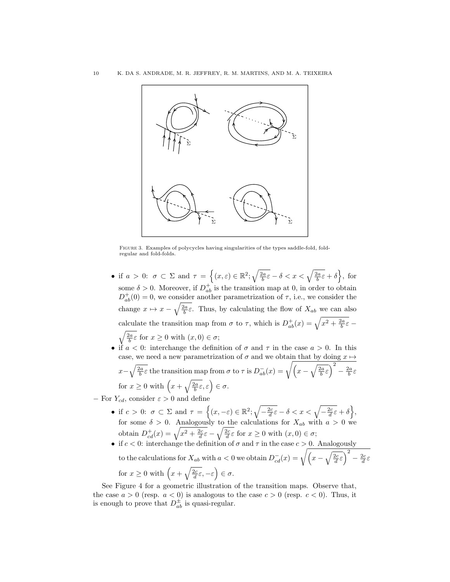

Figure 3. Examples of polycycles having singularities of the types saddle-fold, foldregular and fold-folds.

- if  $a > 0$ :  $\sigma \subset \Sigma$  and  $\tau = \left\{ (x, \varepsilon) \in \mathbb{R}^2 \mid \sqrt{\frac{2a}{b}\varepsilon} \delta < x < \sqrt{\frac{2a}{b}\varepsilon} + \delta \right\}$ , for some  $\delta > 0$ . Moreover, if  $D_{ab}^+$  is the transition map at 0, in order to obtain  $D_{ab}^+(0) = 0$ , we consider another parametrization of  $\tau$ , i.e., we consider the change  $x \mapsto x - \sqrt{\frac{2a}{b}} \varepsilon$ . Thus, by calculating the flow of  $X_{ab}$  we can also calculate the transition map from  $\sigma$  to  $\tau$ , which is  $D^+_{ab}(x) = \sqrt{x^2 + \frac{2a}{b}\varepsilon}$  $\sqrt{\frac{2a}{b}} \varepsilon$  for  $x \ge 0$  with  $(x, 0) \in \sigma$ ;
- if  $a < 0$ : interchange the definition of  $\sigma$  and  $\tau$  in the case  $a > 0$ . In this case, we need a new parametrization of  $\sigma$  and we obtain that by doing  $x \mapsto$  $x-\sqrt{\frac{2a}{b}}\varepsilon$  the transition map from  $\sigma$  to  $\tau$  is  $D_{ab}^-(x) = \sqrt{\left(x-\sqrt{\frac{2a}{b}}\varepsilon\right)^2 - \frac{2a}{b}\varepsilon}$ for  $x \geq 0$  with  $\left(x + \sqrt{\frac{2a}{b}} \varepsilon, \varepsilon\right) \in \sigma$ .
- − For  $Y_{cd}$ , consider  $\varepsilon > 0$  and define
	- if  $c > 0$ :  $\sigma \subset \Sigma$  and  $\tau = \left\{ (x, -\varepsilon) \in \mathbb{R}^2 \mid \sqrt{-\frac{2c}{d}\varepsilon} \delta < x < \sqrt{-\frac{2c}{d}\varepsilon} + \delta \right\},\$ for some  $\delta > 0$ . Analogously to the calculations for  $X_{ab}$  with  $a > 0$  we obtain  $D_{cd}^+(x) = \sqrt{x^2 + \frac{2c}{d}\varepsilon} - \sqrt{\frac{2c}{d}\varepsilon}$  for  $x \ge 0$  with  $(x, 0) \in \sigma$ ;
	- if  $c < 0$ : interchange the definition of  $\sigma$  and  $\tau$  in the case  $c > 0$ . Analogously to the calculations for  $X_{ab}$  with  $a < 0$  we obtain  $D_{cd}^-(x) = \sqrt{\left(x - \sqrt{\frac{2c}{d}\varepsilon}\right)^2 - \frac{2c}{d}\varepsilon}$ for  $x \geq 0$  with  $\left(x + \sqrt{\frac{2c}{d}} \varepsilon, -\varepsilon\right) \in \sigma$ .

See Figure 4 for a geometric illustration of the transition maps. Observe that, the case  $a > 0$  (resp.  $a < 0$ ) is analogous to the case  $c > 0$  (resp.  $c < 0$ ). Thus, it is enough to prove that  $D_{ab}^{\pm}$  is quasi-regular.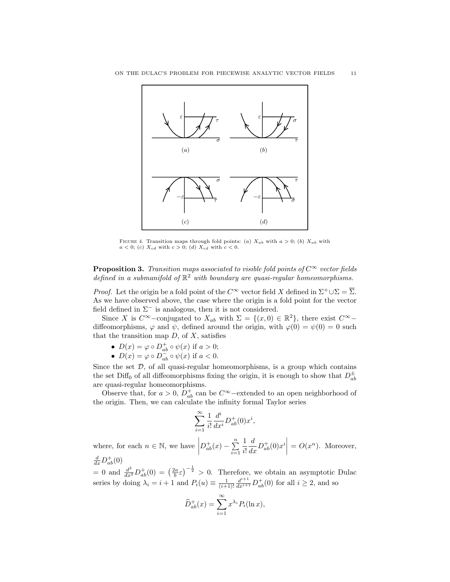

FIGURE 4. Transition maps through fold points: (a)  $X_{ab}$  with  $a > 0$ ; (b)  $X_{ab}$  with  $a < 0$ ; (c)  $X_{cd}$  with  $c > 0$ ; (d)  $X_{cd}$  with  $c < 0$ .

**Proposition 3.** Transition maps associated to visible fold points of  $C^{\infty}$  vector fields defined in a submanifold of  $\mathbb{R}^2$  with boundary are quasi-regular homeomorphisms.

*Proof.* Let the origin be a fold point of the  $C^{\infty}$  vector field X defined in  $\Sigma^+ \cup \Sigma = \overline{\Sigma}$ . As we have observed above, the case where the origin is a fold point for the vector field defined in  $\Sigma^-$  is analogous, then it is not considered.

Since X is  $C^{\infty}$ -conjugated to  $X_{ab}$  with  $\Sigma = \{(x,0) \in \mathbb{R}^2\}$ , there exist  $C^{\infty}$ diffeomorphisms,  $\varphi$  and  $\psi$ , defined around the origin, with  $\varphi(0) = \psi(0) = 0$  such that the transition map  $D$ , of  $X$ , satisfies

- $D(x) = \varphi \circ D_{ab}^+ \circ \psi(x)$  if  $a > 0$ ;
- $D(x) = \varphi \circ D_{ab}^- \circ \psi(x)$  if  $a < 0$ .

Since the set  $D$ , of all quasi-regular homeomorphisms, is a group which contains the set Diff<sub>0</sub> of all diffeomorphisms fixing the origin, it is enough to show that  $D_{ab}^{\pm}$ are quasi-regular homeomorphisms.

Observe that, for  $a > 0$ ,  $D_{ab}^+$  can be  $C^{\infty}$ -extended to an open neighborhood of the origin. Then, we can calculate the infinity formal Taylor series

$$
\sum_{i=1}^{\infty} \frac{1}{i!} \frac{d^i}{dx^i} D^+_{ab}(0) x^i,
$$

where, for each  $n \in \mathbb{N}$ , we have  $D_{ab}^+(x) - \sum_{n=1}^{\infty}$  $i=1$ 1 i!  $\frac{d}{dx}D_{ab}^+(0)x^i\bigg|=O(x^n)$ . Moreover,  $\frac{d}{dx}D_{ab}^+(0)$ 

= 0 and  $\frac{d^2}{dx^2}D_{ab}^+(0) = \left(\frac{2a}{b}\varepsilon\right)^{-\frac{1}{2}} > 0$ . Therefore, we obtain an asymptotic Dulac series by doing  $\lambda_i = i + 1$  and  $P_i(u) \equiv \frac{1}{(i+1)!} \frac{d^{i+1}}{dx^{i+1}} D_{ab}^+(0)$  for all  $i \geq 2$ , and so

$$
\widehat{D}_{ab}^+(x) = \sum_{i=1}^{\infty} x^{\lambda_i} P_i(\ln x),
$$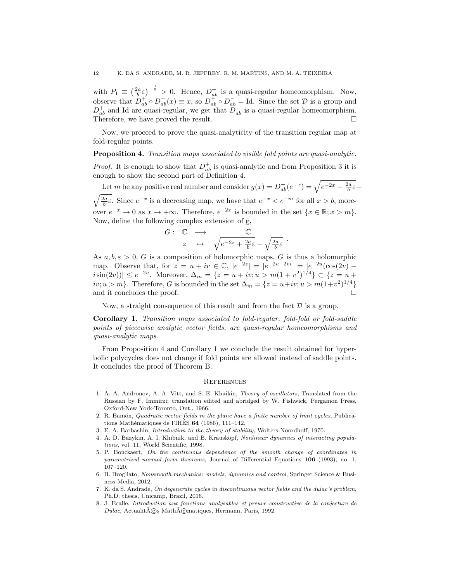with  $P_1 \equiv \left(\frac{2a}{b}\varepsilon\right)^{-\frac{1}{2}} > 0$ . Hence,  $D_{ab}^+$  is a quasi-regular homeomorphism. Now, observe that  $D^+_{ab} \circ D^-_{ab}(x) \equiv x$ , so  $D^+_{ab} \circ D^-_{ab} = \text{Id}$ . Since the set  $D$  is a group and  $D_{ab}^+$  and Id are quasi-regular, we get that  $D_{ab}^-$  is a quasi-regular homeomorphism. Therefore, we have proved the result.  $\square$ 

Now, we proceed to prove the quasi-analyticity of the transition regular map at fold-regular points.

#### Proposition 4. Transition maps associated to visible fold points are quasi-analytic.

*Proof.* It is enough to show that  $D_{ab}^+$  is quasi-analytic and from Proposition 3 it is enough to show the second part of Definition 4.

Let m be any positive real number and consider  $g(x) = D_{ab}^+(e^{-x}) = \sqrt{e^{-2x} + \frac{2a}{b}\varepsilon}$  $\sqrt{\frac{2a}{b}}\varepsilon$ . Since  $e^{-x}$  is a decreasing map, we have that  $e^{-x} < e^{-m}$  for all  $x > b$ , moreover  $e^{-x} \to 0$  as  $x \to +\infty$ . Therefore,  $e^{-2x}$  is bounded in the set  $\{x \in \mathbb{R}; x > m\}$ . Now, define the following complex extension of g,

$$
G: \quad \mathbb{C} \quad \longrightarrow \quad \mathbb{C}
$$
\n
$$
z \quad \mapsto \quad \sqrt{e^{-2z} + \frac{2a}{b}\varepsilon} - \sqrt{\frac{2a}{b}\varepsilon}
$$

.

As  $a, b, \varepsilon > 0$ , G is a composition of holomorphic maps, G is thus a holomorphic map. Observe that, for  $z = u + iv \in \mathbb{C}$ ,  $|e^{-2z}| = |e^{-2u-2vi}| = |e^{-2u}(\cos(2v)$  $i\sin(2v))|\leq e^{-2u}$ . Moreover,  $\Delta_m = \{z = u + iv; u > m(1 + v^2)^{1/4}\}\subset \{z = u + v\}$  $iv; u > m$ . Therefore, G is bounded in the set  $\Delta_m = \{z = u + iv; u > m(1+v^2)^{1/4}\}\$ and it concludes the proof.

Now, a straight consequence of this result and from the fact  $D$  is a group.

Corollary 1. Transition maps associated to fold-regular, fold-fold or fold-saddle points of piecewise analytic vector fields, are quasi-regular homeomorphisms and quasi-analytic maps.

From Proposition 4 and Corollary 1 we conclude the result obtained for hyperbolic polycycles does not change if fold points are allowed instead of saddle points. It concludes the proof of Theorem B.

#### **REFERENCES**

- 1. A. A. Andronov, A. A. Vitt, and S. E. Khaikin, Theory of oscillators, Translated from the Russian by F. Immirzi; translation edited and abridged by W. Fishwick, Pergamon Press, Oxford-New York-Toronto, Ont., 1966.
- 2. R. Bamón, *Quadratic vector fields in the plane have a finite number of limit cycles*, Publications Mathématiques de l'IHÉS  $64$  (1986), 111–142.
- 3. E. A. Barbashin, Introduction to the theory of stability, Wolters-Noordhoff, 1970.
- 4. A. D. Bazykin, A. I. Khibnik, and B. Krauskopf, Nonlinear dynamics of interacting populations, vol. 11, World Scientific, 1998.
- 5. P. Bonckaert, On the continuous dependence of the smooth change of coordinates in parametrized normal form theorems, Journal of Differential Equations 106 (1993), no. 1, 107–120.
- 6. B. Brogliato, Nonsmooth mechanics: models, dynamics and control, Springer Science & Business Media, 2012.
- 7. K. da S. Andrade, On degenerate cycles in discontinuous vector fields and the dulac's problem, Ph.D. thesis, Unicamp, Brazil, 2016.
- 8. J. Ecalle, Introduction aux fonctions analysables et preuve constructive de la conjecture de  $Dulac$ , Actualit $\tilde{A}$ Cos Math $\tilde{A}$ Comatiques, Hermann, Paris, 1992.